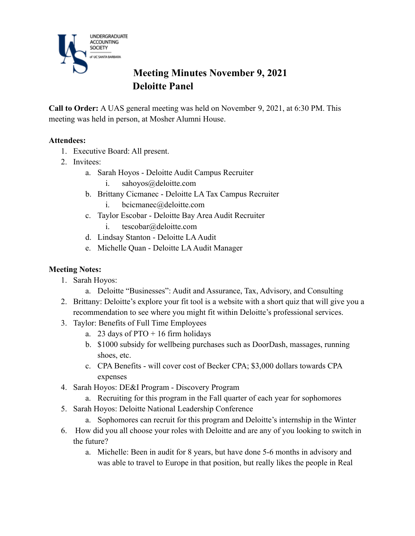

# **Meeting Minutes November 9, 2021 Deloitte Panel**

**Call to Order:** A UAS general meeting was held on November 9, 2021, at 6:30 PM. This meeting was held in person, at Mosher Alumni House.

#### **Attendees:**

- 1. Executive Board: All present.
- 2. Invitees:
	- a. Sarah Hoyos Deloitte Audit Campus Recruiter
		- i. sahoyos@deloitte.com
	- b. Brittany Cicmanec Deloitte LA Tax Campus Recruiter
		- i. bcicmanec@deloitte.com
	- c. Taylor Escobar Deloitte Bay Area Audit Recruiter
		- i. tescobar@deloitte.com
	- d. Lindsay Stanton Deloitte LA Audit
	- e. Michelle Quan Deloitte LA Audit Manager

#### **Meeting Notes:**

- 1. Sarah Hoyos:
	- a. Deloitte "Businesses": Audit and Assurance, Tax, Advisory, and Consulting
- 2. Brittany: Deloitte's explore your fit tool is a website with a short quiz that will give you a recommendation to see where you might fit within Deloitte's professional services.
- 3. Taylor: Benefits of Full Time Employees
	- a. 23 days of  $PTO + 16$  firm holidays
	- b. \$1000 subsidy for wellbeing purchases such as DoorDash, massages, running shoes, etc.
	- c. CPA Benefits will cover cost of Becker CPA; \$3,000 dollars towards CPA expenses
- 4. Sarah Hoyos: DE&I Program Discovery Program
	- a. Recruiting for this program in the Fall quarter of each year for sophomores
- 5. Sarah Hoyos: Deloitte National Leadership Conference
	- a. Sophomores can recruit for this program and Deloitte's internship in the Winter
- 6. How did you all choose your roles with Deloitte and are any of you looking to switch in the future?
	- a. Michelle: Been in audit for 8 years, but have done 5-6 months in advisory and was able to travel to Europe in that position, but really likes the people in Real